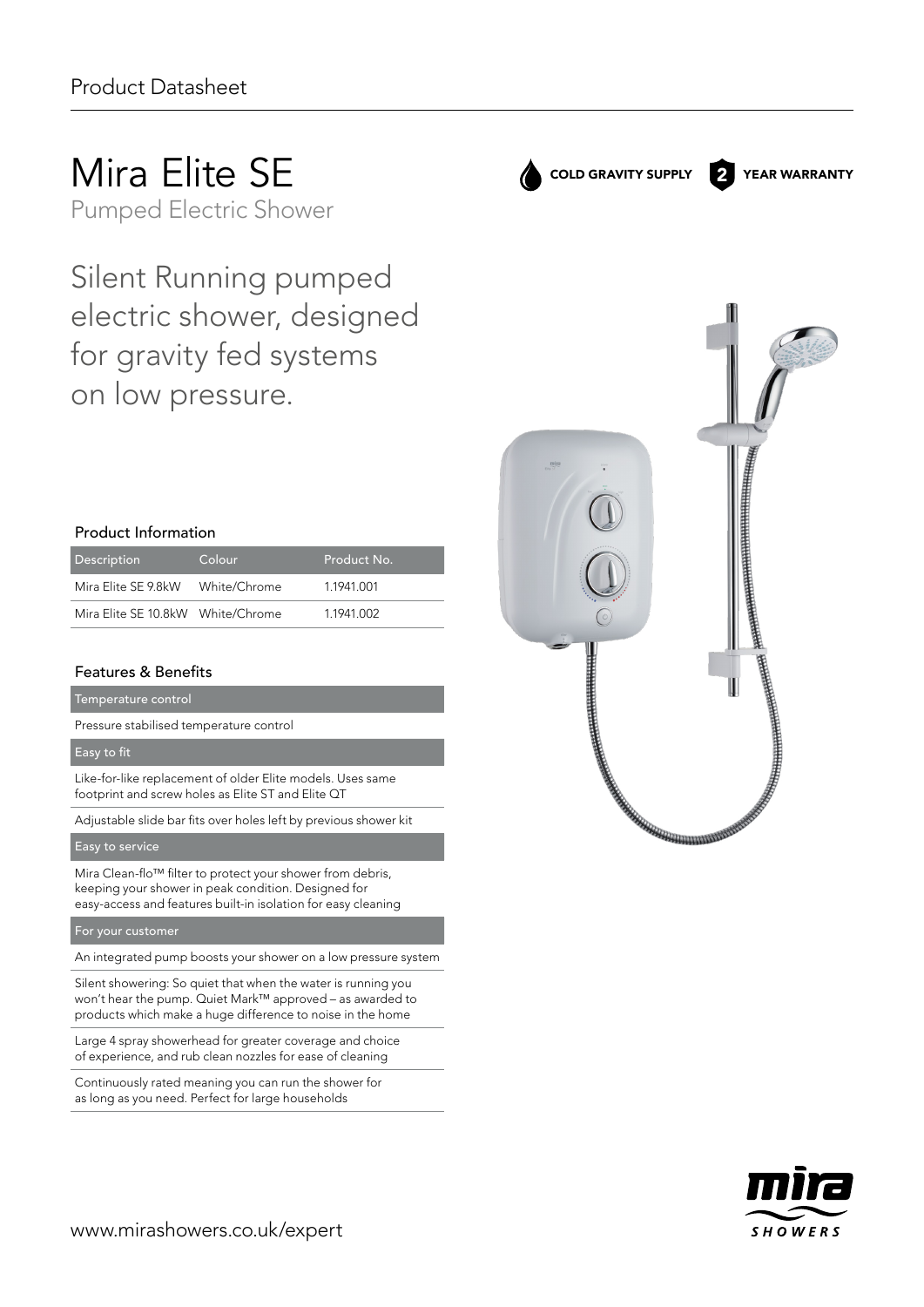# Mira Elite SE

Pumped Electric Shower

Silent Running pumped electric shower, designed for gravity fed systems on low pressure.

# Product Information

| Description                       | Colour       | Product No. |
|-----------------------------------|--------------|-------------|
| Mira Elite SE 9.8kW               | White/Chrome | 11941001    |
| Mira Elite SE 10.8kW White/Chrome |              | 1.1941.002  |

# Features & Benefits

Temperature control

Pressure stabilised temperature control

### Easy to fit

Like-for-like replacement of older Elite models. Uses same footprint and screw holes as Elite ST and Elite QT

Adjustable slide bar fits over holes left by previous shower kit

### Easy to service

Mira Clean-flo™ filter to protect your shower from debris, keeping your shower in peak condition. Designed for easy‑access and features built-in isolation for easy cleaning

#### For your customer

An integrated pump boosts your shower on a low pressure system

Silent showering: So quiet that when the water is running you won't hear the pump. Quiet Mark™ approved – as awarded to products which make a huge difference to noise in the home

Large 4 spray showerhead for greater coverage and choice of experience, and rub clean nozzles for ease of cleaning

Continuously rated meaning you can run the shower for as long as you need. Perfect for large households



COLD GRAVITY SUPPLY 2 YEAR WARRANTY